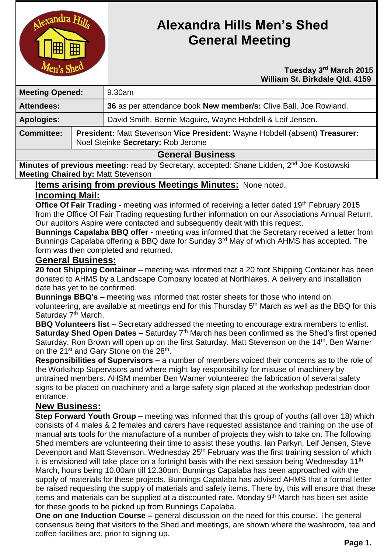

# **Alexandra Hills Men's Shed General Meeting**

#### *Tuesday* **3<sup>rd</sup> March 2015 William St. Birkdale Qld. 4159**

| <b>Meeting Opened:</b>  |                                                                                                                   | 9.30am                                                           |
|-------------------------|-------------------------------------------------------------------------------------------------------------------|------------------------------------------------------------------|
| <b>Attendees:</b>       |                                                                                                                   | 36 as per attendance book New member/s: Clive Ball, Joe Rowland. |
| <b>Apologies:</b>       |                                                                                                                   | David Smith, Bernie Maguire, Wayne Hobdell & Leif Jensen.        |
| <b>Committee:</b>       | President: Matt Stevenson Vice President: Wayne Hobdell (absent) Treasurer:<br>Noel Steinke Secretary: Rob Jerome |                                                                  |
| <b>General Rusiness</b> |                                                                                                                   |                                                                  |

# **General Business**

Minutes of previous meeting: read by Secretary, accepted: Shane Lidden, 2<sup>nd</sup> Joe Kostowski **Meeting Chaired by:** Matt Stevenson

### **Items arising from previous Meetings Minutes:** None noted.

# **Incoming Mail:**

**Office Of Fair Trading -** meeting was informed of receiving a letter dated 19<sup>th</sup> February 2015 from the Office Of Fair Trading requesting further information on our Associations Annual Return. Our auditors Aspire were contacted and subsequently dealt with this request.

**Bunnings Capalaba BBQ offer -** meeting was informed that the Secretary received a letter from Bunnings Capalaba offering a BBQ date for Sunday 3<sup>rd</sup> May of which AHMS has accepted. The form was then completed and returned.

#### **General Business:**

**20 foot Shipping Container –** meeting was informed that a 20 foot Shipping Container has been donated to AHMS by a Landscape Company located at Northlakes. A delivery and installation date has yet to be confirmed.

**Bunnings BBQ's –** meeting was informed that roster sheets for those who intend on volunteering, are available at meetings end for this Thursday 5<sup>th</sup> March as well as the BBQ for this Saturday 7<sup>th</sup> March.

**BBQ Volunteers list –** Secretary addressed the meeting to encourage extra members to enlist. **Saturday Shed Open Dates –** Saturday 7<sup>th</sup> March has been confirmed as the Shed's first opened Saturday. Ron Brown will open up on the first Saturday. Matt Stevenson on the 14<sup>th</sup>. Ben Warner on the 21<sup>st</sup> and Gary Stone on the 28<sup>th</sup>.

**Responsibilities of Supervisors –** a number of members voiced their concerns as to the role of the Workshop Supervisors and where might lay responsibility for misuse of machinery by untrained members. AHSM member Ben Warner volunteered the fabrication of several safety signs to be placed on machinery and a large safety sign placed at the workshop pedestrian door entrance.

## **New Business:**

**Step Forward Youth Group –** meeting was informed that this group of youths (all over 18) which consists of 4 males & 2 females and carers have requested assistance and training on the use of manual arts tools for the manufacture of a number of projects they wish to take on. The following Shed members are volunteering their time to assist these youths. Ian Parkyn, Leif Jensen, Steve Devenport and Matt Stevenson. Wednesday 25<sup>th</sup> February was the first training session of which it is envisioned will take place on a fortnight basis with the next session being Wednesday  $11<sup>th</sup>$ March, hours being 10.00am till 12.30pm. Bunnings Capalaba has been approached with the supply of materials for these projects. Bunnings Capalaba has advised AHMS that a formal letter be raised requesting the supply of materials and safety items. There by, this will ensure that these items and materials can be supplied at a discounted rate. Monday 9<sup>th</sup> March has been set aside for these goods to be picked up from Bunnings Capalaba.

**One on one Induction Course –** general discussion on the need for this course. The general consensus being that visitors to the Shed and meetings, are shown where the washroom, tea and coffee facilities are, prior to signing up.